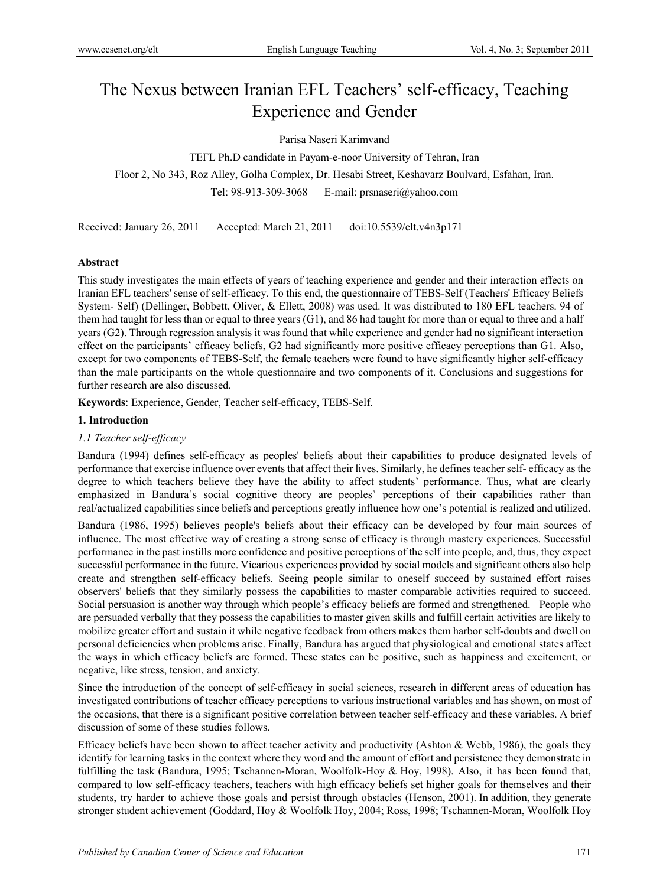# The Nexus between Iranian EFL Teachers' self-efficacy, Teaching Experience and Gender

## Parisa Naseri Karimvand

TEFL Ph.D candidate in Payam-e-noor University of Tehran, Iran Floor 2, No 343, Roz Alley, Golha Complex, Dr. Hesabi Street, Keshavarz Boulvard, Esfahan, Iran. Tel: 98-913-309-3068 E-mail: prsnaseri@yahoo.com

Received: January 26, 2011 Accepted: March 21, 2011 doi:10.5539/elt.v4n3p171

## **Abstract**

This study investigates the main effects of years of teaching experience and gender and their interaction effects on Iranian EFL teachers' sense of self-efficacy. To this end, the questionnaire of TEBS-Self (Teachers' Efficacy Beliefs System- Self) (Dellinger, Bobbett, Oliver, & Ellett, 2008) was used. It was distributed to 180 EFL teachers. 94 of them had taught for less than or equal to three years (G1), and 86 had taught for more than or equal to three and a half years (G2). Through regression analysis it was found that while experience and gender had no significant interaction effect on the participants' efficacy beliefs, G2 had significantly more positive efficacy perceptions than G1. Also, except for two components of TEBS-Self, the female teachers were found to have significantly higher self-efficacy than the male participants on the whole questionnaire and two components of it. Conclusions and suggestions for further research are also discussed.

**Keywords**: Experience, Gender, Teacher self-efficacy, TEBS-Self.

## **1. Introduction**

## *1.1 Teacher self-efficacy*

Bandura (1994) defines self-efficacy as peoples' beliefs about their capabilities to produce designated levels of performance that exercise influence over events that affect their lives. Similarly, he defines teacher self- efficacy as the degree to which teachers believe they have the ability to affect students' performance. Thus, what are clearly emphasized in Bandura's social cognitive theory are peoples' perceptions of their capabilities rather than real/actualized capabilities since beliefs and perceptions greatly influence how one's potential is realized and utilized.

Bandura (1986, 1995) believes people's beliefs about their efficacy can be developed by four main sources of influence. The most effective way of creating a strong sense of efficacy is through mastery experiences. Successful performance in the past instills more confidence and positive perceptions of the self into people, and, thus, they expect successful performance in the future. Vicarious experiences provided by social models and significant others also help create and strengthen self-efficacy beliefs. Seeing people similar to oneself succeed by sustained effort raises observers' beliefs that they similarly possess the capabilities to master comparable activities required to succeed. Social persuasion is another way through which people's efficacy beliefs are formed and strengthened. People who are persuaded verbally that they possess the capabilities to master given skills and fulfill certain activities are likely to mobilize greater effort and sustain it while negative feedback from others makes them harbor self-doubts and dwell on personal deficiencies when problems arise. Finally, Bandura has argued that physiological and emotional states affect the ways in which efficacy beliefs are formed. These states can be positive, such as happiness and excitement, or negative, like stress, tension, and anxiety.

Since the introduction of the concept of self-efficacy in social sciences, research in different areas of education has investigated contributions of teacher efficacy perceptions to various instructional variables and has shown, on most of the occasions, that there is a significant positive correlation between teacher self-efficacy and these variables. A brief discussion of some of these studies follows.

Efficacy beliefs have been shown to affect teacher activity and productivity (Ashton & Webb, 1986), the goals they identify for learning tasks in the context where they word and the amount of effort and persistence they demonstrate in fulfilling the task (Bandura, 1995; Tschannen-Moran, Woolfolk-Hoy & Hoy, 1998). Also, it has been found that, compared to low self-efficacy teachers, teachers with high efficacy beliefs set higher goals for themselves and their students, try harder to achieve those goals and persist through obstacles (Henson, 2001). In addition, they generate stronger student achievement (Goddard, Hoy & Woolfolk Hoy, 2004; Ross, 1998; Tschannen-Moran, Woolfolk Hoy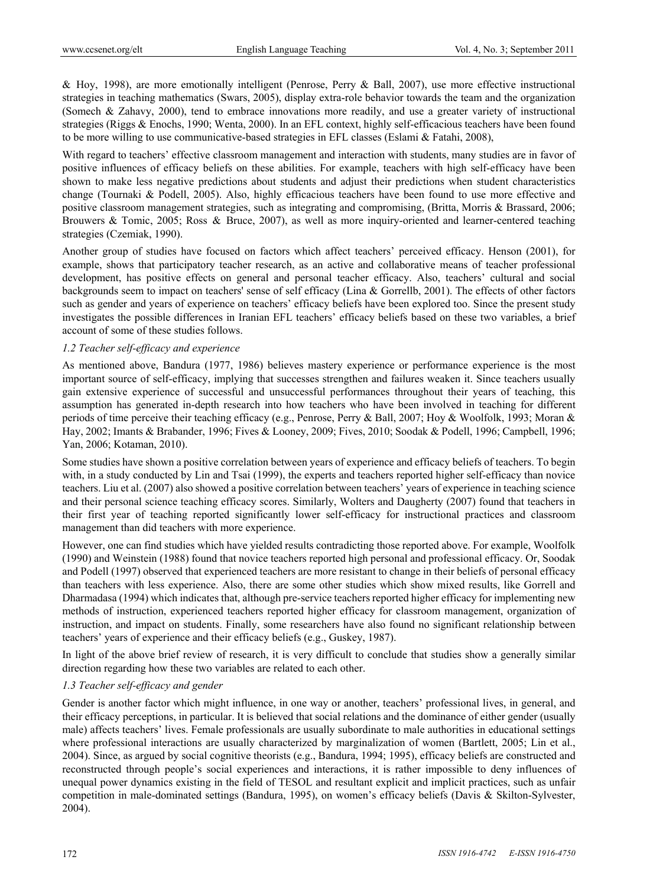& Hoy, 1998), are more emotionally intelligent (Penrose, Perry & Ball, 2007), use more effective instructional strategies in teaching mathematics (Swars, 2005), display extra-role behavior towards the team and the organization (Somech & Zahavy, 2000), tend to embrace innovations more readily, and use a greater variety of instructional strategies (Riggs & Enochs, 1990; Wenta, 2000). In an EFL context, highly self-efficacious teachers have been found to be more willing to use communicative-based strategies in EFL classes (Eslami & Fatahi, 2008),

With regard to teachers' effective classroom management and interaction with students, many studies are in favor of positive influences of efficacy beliefs on these abilities. For example, teachers with high self-efficacy have been shown to make less negative predictions about students and adjust their predictions when student characteristics change (Tournaki & Podell, 2005). Also, highly efficacious teachers have been found to use more effective and positive classroom management strategies, such as integrating and compromising, (Britta, Morris & Brassard, 2006; Brouwers & Tomic, 2005; Ross & Bruce, 2007), as well as more inquiry-oriented and learner-centered teaching strategies (Czemiak, 1990).

Another group of studies have focused on factors which affect teachers' perceived efficacy. Henson (2001), for example, shows that participatory teacher research, as an active and collaborative means of teacher professional development, has positive effects on general and personal teacher efficacy. Also, teachers' cultural and social backgrounds seem to impact on teachers' sense of self efficacy (Lina & Gorrellb, 2001). The effects of other factors such as gender and years of experience on teachers' efficacy beliefs have been explored too. Since the present study investigates the possible differences in Iranian EFL teachers' efficacy beliefs based on these two variables, a brief account of some of these studies follows.

## *1.2 Teacher self-efficacy and experience*

As mentioned above, Bandura (1977, 1986) believes mastery experience or performance experience is the most important source of self-efficacy, implying that successes strengthen and failures weaken it. Since teachers usually gain extensive experience of successful and unsuccessful performances throughout their years of teaching, this assumption has generated in-depth research into how teachers who have been involved in teaching for different periods of time perceive their teaching efficacy (e.g., Penrose, Perry & Ball, 2007; Hoy & Woolfolk, 1993; Moran & Hay, 2002; Imants & Brabander, 1996; Fives & Looney, 2009; Fives, 2010; Soodak & Podell, 1996; Campbell, 1996; Yan, 2006; Kotaman, 2010).

Some studies have shown a positive correlation between years of experience and efficacy beliefs of teachers. To begin with, in a study conducted by Lin and Tsai (1999), the experts and teachers reported higher self-efficacy than novice teachers. Liu et al. (2007) also showed a positive correlation between teachers' years of experience in teaching science and their personal science teaching efficacy scores. Similarly, Wolters and Daugherty (2007) found that teachers in their first year of teaching reported significantly lower self-efficacy for instructional practices and classroom management than did teachers with more experience.

However, one can find studies which have yielded results contradicting those reported above. For example, Woolfolk (1990) and Weinstein (1988) found that novice teachers reported high personal and professional efficacy. Or, Soodak and Podell (1997) observed that experienced teachers are more resistant to change in their beliefs of personal efficacy than teachers with less experience. Also, there are some other studies which show mixed results, like Gorrell and Dharmadasa (1994) which indicates that, although pre-service teachers reported higher efficacy for implementing new methods of instruction, experienced teachers reported higher efficacy for classroom management, organization of instruction, and impact on students. Finally, some researchers have also found no significant relationship between teachers' years of experience and their efficacy beliefs (e.g., Guskey, 1987).

In light of the above brief review of research, it is very difficult to conclude that studies show a generally similar direction regarding how these two variables are related to each other.

## *1.3 Teacher self-efficacy and gender*

Gender is another factor which might influence, in one way or another, teachers' professional lives, in general, and their efficacy perceptions, in particular. It is believed that social relations and the dominance of either gender (usually male) affects teachers' lives. Female professionals are usually subordinate to male authorities in educational settings where professional interactions are usually characterized by marginalization of women (Bartlett, 2005; Lin et al., 2004). Since, as argued by social cognitive theorists (e.g., Bandura, 1994; 1995), efficacy beliefs are constructed and reconstructed through people's social experiences and interactions, it is rather impossible to deny influences of unequal power dynamics existing in the field of TESOL and resultant explicit and implicit practices, such as unfair competition in male-dominated settings (Bandura, 1995), on women's efficacy beliefs (Davis & Skilton-Sylvester, 2004).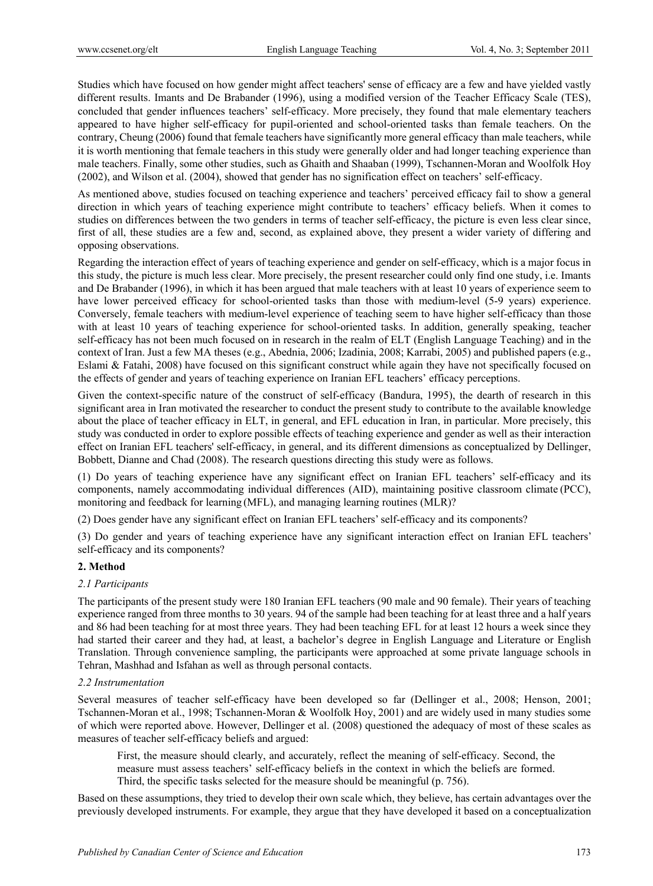Studies which have focused on how gender might affect teachers' sense of efficacy are a few and have yielded vastly different results. Imants and De Brabander (1996), using a modified version of the Teacher Efficacy Scale (TES), concluded that gender influences teachers' self-efficacy. More precisely, they found that male elementary teachers appeared to have higher self-efficacy for pupil-oriented and school-oriented tasks than female teachers. On the contrary, Cheung (2006) found that female teachers have significantly more general efficacy than male teachers, while it is worth mentioning that female teachers in this study were generally older and had longer teaching experience than male teachers. Finally, some other studies, such as Ghaith and Shaaban (1999), Tschannen-Moran and Woolfolk Hoy (2002), and Wilson et al. (2004), showed that gender has no signification effect on teachers' self-efficacy.

As mentioned above, studies focused on teaching experience and teachers' perceived efficacy fail to show a general direction in which years of teaching experience might contribute to teachers' efficacy beliefs. When it comes to studies on differences between the two genders in terms of teacher self-efficacy, the picture is even less clear since, first of all, these studies are a few and, second, as explained above, they present a wider variety of differing and opposing observations.

Regarding the interaction effect of years of teaching experience and gender on self-efficacy, which is a major focus in this study, the picture is much less clear. More precisely, the present researcher could only find one study, i.e. Imants and De Brabander (1996), in which it has been argued that male teachers with at least 10 years of experience seem to have lower perceived efficacy for school-oriented tasks than those with medium-level (5-9 years) experience. Conversely, female teachers with medium-level experience of teaching seem to have higher self-efficacy than those with at least 10 years of teaching experience for school-oriented tasks. In addition, generally speaking, teacher self-efficacy has not been much focused on in research in the realm of ELT (English Language Teaching) and in the context of Iran. Just a few MA theses (e.g., Abednia, 2006; Izadinia, 2008; Karrabi, 2005) and published papers (e.g., Eslami & Fatahi, 2008) have focused on this significant construct while again they have not specifically focused on the effects of gender and years of teaching experience on Iranian EFL teachers' efficacy perceptions.

Given the context-specific nature of the construct of self-efficacy (Bandura, 1995), the dearth of research in this significant area in Iran motivated the researcher to conduct the present study to contribute to the available knowledge about the place of teacher efficacy in ELT, in general, and EFL education in Iran, in particular. More precisely, this study was conducted in order to explore possible effects of teaching experience and gender as well as their interaction effect on Iranian EFL teachers' self-efficacy, in general, and its different dimensions as conceptualized by Dellinger, Bobbett, Dianne and Chad (2008). The research questions directing this study were as follows.

(1) Do years of teaching experience have any significant effect on Iranian EFL teachers' self-efficacy and its components, namely accommodating individual differences (AID), maintaining positive classroom climate (PCC), monitoring and feedback for learning (MFL), and managing learning routines (MLR)?

(2) Does gender have any significant effect on Iranian EFL teachers' self-efficacy and its components?

(3) Do gender and years of teaching experience have any significant interaction effect on Iranian EFL teachers' self-efficacy and its components?

## **2. Method**

## *2.1 Participants*

The participants of the present study were 180 Iranian EFL teachers (90 male and 90 female). Their years of teaching experience ranged from three months to 30 years. 94 of the sample had been teaching for at least three and a half years and 86 had been teaching for at most three years. They had been teaching EFL for at least 12 hours a week since they had started their career and they had, at least, a bachelor's degree in English Language and Literature or English Translation. Through convenience sampling, the participants were approached at some private language schools in Tehran, Mashhad and Isfahan as well as through personal contacts.

## *2.2 Instrumentation*

Several measures of teacher self-efficacy have been developed so far (Dellinger et al., 2008; Henson, 2001; Tschannen-Moran et al., 1998; Tschannen-Moran & Woolfolk Hoy, 2001) and are widely used in many studies some of which were reported above. However, Dellinger et al. (2008) questioned the adequacy of most of these scales as measures of teacher self-efficacy beliefs and argued:

First, the measure should clearly, and accurately, reflect the meaning of self-efficacy. Second, the measure must assess teachers' self-efficacy beliefs in the context in which the beliefs are formed. Third, the specific tasks selected for the measure should be meaningful (p. 756).

Based on these assumptions, they tried to develop their own scale which, they believe, has certain advantages over the previously developed instruments. For example, they argue that they have developed it based on a conceptualization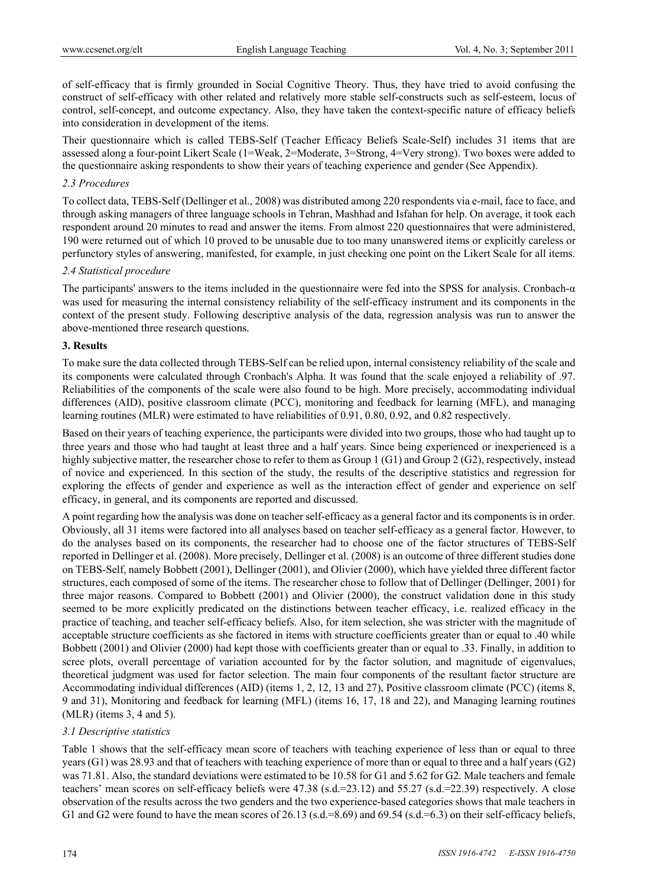of self-efficacy that is firmly grounded in Social Cognitive Theory. Thus, they have tried to avoid confusing the construct of self-efficacy with other related and relatively more stable self-constructs such as self-esteem, locus of control, self-concept, and outcome expectancy. Also, they have taken the context-specific nature of efficacy beliefs into consideration in development of the items.

Their questionnaire which is called TEBS-Self (Teacher Efficacy Beliefs Scale-Self) includes 31 items that are assessed along a four-point Likert Scale (1=Weak, 2=Moderate, 3=Strong, 4=Very strong). Two boxes were added to the questionnaire asking respondents to show their years of teaching experience and gender (See Appendix).

#### *2.3 Procedures*

To collect data, TEBS-Self (Dellinger et al., 2008) was distributed among 220 respondents via e-mail, face to face, and through asking managers of three language schools in Tehran, Mashhad and Isfahan for help. On average, it took each respondent around 20 minutes to read and answer the items. From almost 220 questionnaires that were administered, 190 were returned out of which 10 proved to be unusable due to too many unanswered items or explicitly careless or perfunctory styles of answering, manifested, for example, in just checking one point on the Likert Scale for all items.

#### *2.4 Statistical procedure*

The participants' answers to the items included in the questionnaire were fed into the SPSS for analysis. Cronbach-α was used for measuring the internal consistency reliability of the self-efficacy instrument and its components in the context of the present study. Following descriptive analysis of the data, regression analysis was run to answer the above-mentioned three research questions.

#### **3. Results**

To make sure the data collected through TEBS-Self can be relied upon, internal consistency reliability of the scale and its components were calculated through Cronbach's Alpha. It was found that the scale enjoyed a reliability of .97. Reliabilities of the components of the scale were also found to be high. More precisely, accommodating individual differences (AID), positive classroom climate (PCC), monitoring and feedback for learning (MFL), and managing learning routines (MLR) were estimated to have reliabilities of 0.91, 0.80, 0.92, and 0.82 respectively.

Based on their years of teaching experience, the participants were divided into two groups, those who had taught up to three years and those who had taught at least three and a half years. Since being experienced or inexperienced is a highly subjective matter, the researcher chose to refer to them as Group 1 (G1) and Group 2 (G2), respectively, instead of novice and experienced. In this section of the study, the results of the descriptive statistics and regression for exploring the effects of gender and experience as well as the interaction effect of gender and experience on self efficacy, in general, and its components are reported and discussed.

A point regarding how the analysis was done on teacher self-efficacy as a general factor and its components is in order. Obviously, all 31 items were factored into all analyses based on teacher self-efficacy as a general factor. However, to do the analyses based on its components, the researcher had to choose one of the factor structures of TEBS-Self reported in Dellinger et al. (2008). More precisely, Dellinger et al. (2008) is an outcome of three different studies done on TEBS-Self, namely Bobbett (2001), Dellinger (2001), and Olivier (2000), which have yielded three different factor structures, each composed of some of the items. The researcher chose to follow that of Dellinger (Dellinger, 2001) for three major reasons. Compared to Bobbett (2001) and Olivier (2000), the construct validation done in this study seemed to be more explicitly predicated on the distinctions between teacher efficacy, i.e. realized efficacy in the practice of teaching, and teacher self-efficacy beliefs. Also, for item selection, she was stricter with the magnitude of acceptable structure coefficients as she factored in items with structure coefficients greater than or equal to .40 while Bobbett (2001) and Olivier (2000) had kept those with coefficients greater than or equal to .33. Finally, in addition to scree plots, overall percentage of variation accounted for by the factor solution, and magnitude of eigenvalues, theoretical judgment was used for factor selection. The main four components of the resultant factor structure are Accommodating individual differences (AID) (items 1, 2, 12, 13 and 27), Positive classroom climate (PCC) (items 8, 9 and 31), Monitoring and feedback for learning (MFL) (items 16, 17, 18 and 22), and Managing learning routines (MLR) (items 3, 4 and 5).

## *3.1 Descriptive statistics*

Table 1 shows that the self-efficacy mean score of teachers with teaching experience of less than or equal to three years (G1) was 28.93 and that of teachers with teaching experience of more than or equal to three and a half years (G2) was 71.81. Also, the standard deviations were estimated to be 10.58 for G1 and 5.62 for G2. Male teachers and female teachers' mean scores on self-efficacy beliefs were 47.38 (s.d.=23.12) and 55.27 (s.d.=22.39) respectively. A close observation of the results across the two genders and the two experience-based categories shows that male teachers in G1 and G2 were found to have the mean scores of  $26.13$  (s.d.=8.69) and  $69.54$  (s.d.=6.3) on their self-efficacy beliefs,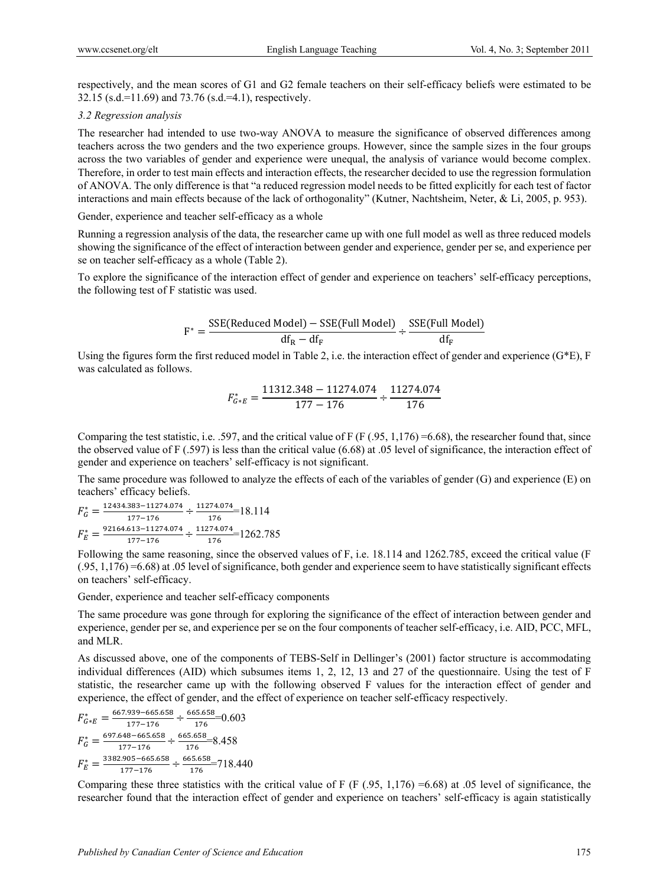respectively, and the mean scores of G1 and G2 female teachers on their self-efficacy beliefs were estimated to be 32.15 (s.d.=11.69) and 73.76 (s.d.=4.1), respectively.

#### *3.2 Regression analysis*

The researcher had intended to use two-way ANOVA to measure the significance of observed differences among teachers across the two genders and the two experience groups. However, since the sample sizes in the four groups across the two variables of gender and experience were unequal, the analysis of variance would become complex. Therefore, in order to test main effects and interaction effects, the researcher decided to use the regression formulation of ANOVA. The only difference is that "a reduced regression model needs to be fitted explicitly for each test of factor interactions and main effects because of the lack of orthogonality" (Kutner, Nachtsheim, Neter, & Li, 2005, p. 953).

Gender, experience and teacher self-efficacy as a whole

Running a regression analysis of the data, the researcher came up with one full model as well as three reduced models showing the significance of the effect of interaction between gender and experience, gender per se, and experience per se on teacher self-efficacy as a whole (Table 2).

To explore the significance of the interaction effect of gender and experience on teachers' self-efficacy perceptions, the following test of F statistic was used.

$$
F^* = \frac{SSE(Reduced Model) - SSE(Full Model)}{df_R - df_F} \div \frac{SSE(Full Model)}{df_F}
$$

Using the figures form the first reduced model in Table 2, i.e. the interaction effect of gender and experience  $(G^*E)$ , F was calculated as follows.

$$
F_{G*E}^* = \frac{11312.348 - 11274.074}{177 - 176} \div \frac{11274.074}{176}
$$

Comparing the test statistic, i.e. .597, and the critical value of F (F (.95, 1,176) =6.68), the researcher found that, since the observed value of F (.597) is less than the critical value (6.68) at .05 level of significance, the interaction effect of gender and experience on teachers' self-efficacy is not significant.

The same procedure was followed to analyze the effects of each of the variables of gender (G) and experience (E) on teachers' efficacy beliefs.

$$
F_G^* = \frac{12434.383 - 11274.074}{177 - 176} \div \frac{11274.074}{176} = 18.114
$$
  

$$
F_E^* = \frac{92164.613 - 11274.074}{177 - 176} \div \frac{11274.074}{176} = 1262.785
$$

Following the same reasoning, since the observed values of F, i.e. 18.114 and 1262.785, exceed the critical value (F (.95, 1,176) =6.68) at .05 level of significance, both gender and experience seem to have statistically significant effects on teachers' self-efficacy.

Gender, experience and teacher self-efficacy components

The same procedure was gone through for exploring the significance of the effect of interaction between gender and experience, gender per se, and experience per se on the four components of teacher self-efficacy, i.e. AID, PCC, MFL, and MLR.

As discussed above, one of the components of TEBS-Self in Dellinger's (2001) factor structure is accommodating individual differences (AID) which subsumes items 1, 2, 12, 13 and 27 of the questionnaire. Using the test of F statistic, the researcher came up with the following observed F values for the interaction effect of gender and experience, the effect of gender, and the effect of experience on teacher self-efficacy respectively.

$$
F_{G^*E}^* = \frac{667.939 - 665.658}{177 - 176} \div \frac{665.658}{176} = 0.603
$$
  
\n
$$
F_G^* = \frac{697.648 - 665.658}{177 - 176} \div \frac{665.658}{176} = 8.458
$$
  
\n
$$
F_E^* = \frac{3382.905 - 665.658}{177 - 176} \div \frac{665.658}{176} = 718.440
$$

Comparing these three statistics with the critical value of F (F  $(.95, 1,176) = 6.68$ ) at .05 level of significance, the researcher found that the interaction effect of gender and experience on teachers' self-efficacy is again statistically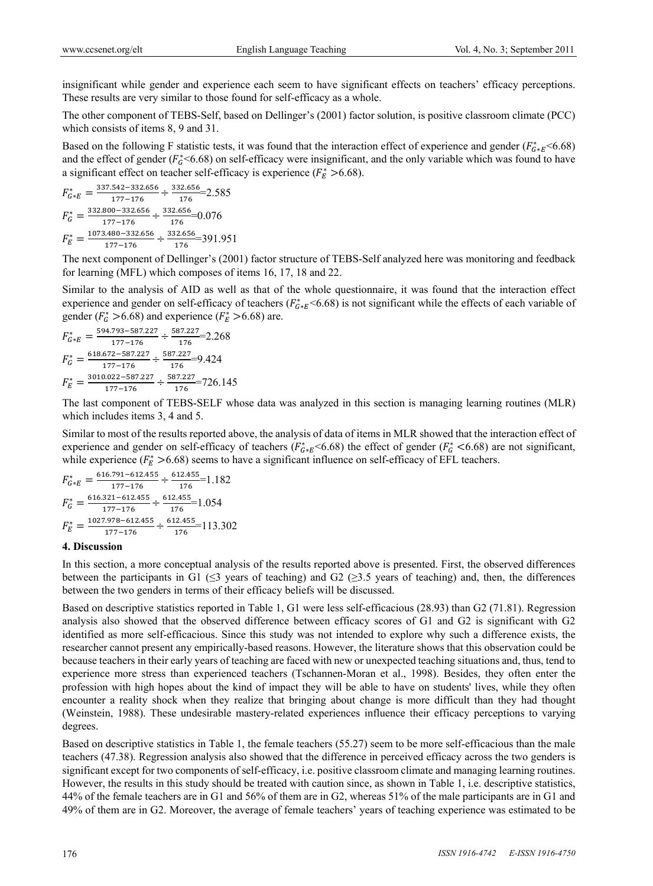insignificant while gender and experience each seem to have significant effects on teachers' efficacy perceptions. These results are very similar to those found for self-efficacy as a whole.

The other component of TEBS-Self, based on Dellinger's (2001) factor solution, is positive classroom climate (PCC) which consists of items 8, 9 and 31.

Based on the following F statistic tests, it was found that the interaction effect of experience and gender ( $F_{G*E}^*$  <6.68) and the effect of gender ( $F_6^*$ <6.68) on self-efficacy were insignificant, and the only variable which was found to have a significant effect on teacher self-efficacy is experience ( $F_E^* > 6.68$ ).

$$
F_{G^*E}^* = \frac{337.542 - 332.656}{177 - 176} \div \frac{332.656}{176} = 2.585
$$
  
\n
$$
F_G^* = \frac{332.800 - 332.656}{177 - 176} \div \frac{332.656}{176} = 0.076
$$
  
\n
$$
F_E^* = \frac{1073.480 - 332.656}{177 - 176} \div \frac{332.656}{176} = 391.951
$$

The next component of Dellinger's (2001) factor structure of TEBS-Self analyzed here was monitoring and feedback for learning (MFL) which composes of items 16, 17, 18 and 22.

Similar to the analysis of AID as well as that of the whole questionnaire, it was found that the interaction effect experience and gender on self-efficacy of teachers ( $F_{G*E}^*$  <6.68) is not significant while the effects of each variable of gender ( $F_G^* > 6.68$ ) and experience ( $F_E^* > 6.68$ ) are.

$$
F_{G*E}^* = \frac{594.793 - 587.227}{177 - 176} \div \frac{587.227}{176} = 2.268
$$
  
\n
$$
F_G^* = \frac{618.672 - 587.227}{177 - 176} \div \frac{587.227}{176} = 9.424
$$
  
\n
$$
F_E^* = \frac{3010.022 - 587.227}{177 - 176} \div \frac{587.227}{176} = 726.145
$$

The last component of TEBS-SELF whose data was analyzed in this section is managing learning routines (MLR) which includes items 3, 4 and 5.

Similar to most of the results reported above, the analysis of data of items in MLR showed that the interaction effect of experience and gender on self-efficacy of teachers ( $F_{G*E}^*$  <6.68) the effect of gender ( $F_G^*$  <6.68) are not significant, while experience ( $F_E^* > 6.68$ ) seems to have a significant influence on self-efficacy of EFL teachers.

$$
F_{G*E}^* = \frac{616.791 - 612.455}{177 - 176} \div \frac{612.455}{176} = 1.182
$$
  
\n
$$
F_G^* = \frac{616.321 - 612.455}{177 - 176} \div \frac{612.455}{176} = 1.054
$$
  
\n
$$
F_E^* = \frac{1027.978 - 612.455}{177 - 176} \div \frac{612.455}{176} = 113.302
$$

## **4. Discussion**

In this section, a more conceptual analysis of the results reported above is presented. First, the observed differences between the participants in G1 ( $\leq$ 3 years of teaching) and G2 ( $\geq$ 3.5 years of teaching) and, then, the differences between the two genders in terms of their efficacy beliefs will be discussed.

Based on descriptive statistics reported in Table 1, G1 were less self-efficacious (28.93) than G2 (71.81). Regression analysis also showed that the observed difference between efficacy scores of G1 and G2 is significant with G2 identified as more self-efficacious. Since this study was not intended to explore why such a difference exists, the researcher cannot present any empirically-based reasons. However, the literature shows that this observation could be because teachers in their early years of teaching are faced with new or unexpected teaching situations and, thus, tend to experience more stress than experienced teachers (Tschannen-Moran et al., 1998). Besides, they often enter the profession with high hopes about the kind of impact they will be able to have on students' lives, while they often encounter a reality shock when they realize that bringing about change is more difficult than they had thought (Weinstein, 1988). These undesirable mastery-related experiences influence their efficacy perceptions to varying degrees.

Based on descriptive statistics in Table 1, the female teachers (55.27) seem to be more self-efficacious than the male teachers (47.38). Regression analysis also showed that the difference in perceived efficacy across the two genders is significant except for two components of self-efficacy, i.e. positive classroom climate and managing learning routines. However, the results in this study should be treated with caution since, as shown in Table 1, i.e. descriptive statistics, 44% of the female teachers are in G1 and 56% of them are in G2, whereas 51% of the male participants are in G1 and 49% of them are in G2. Moreover, the average of female teachers' years of teaching experience was estimated to be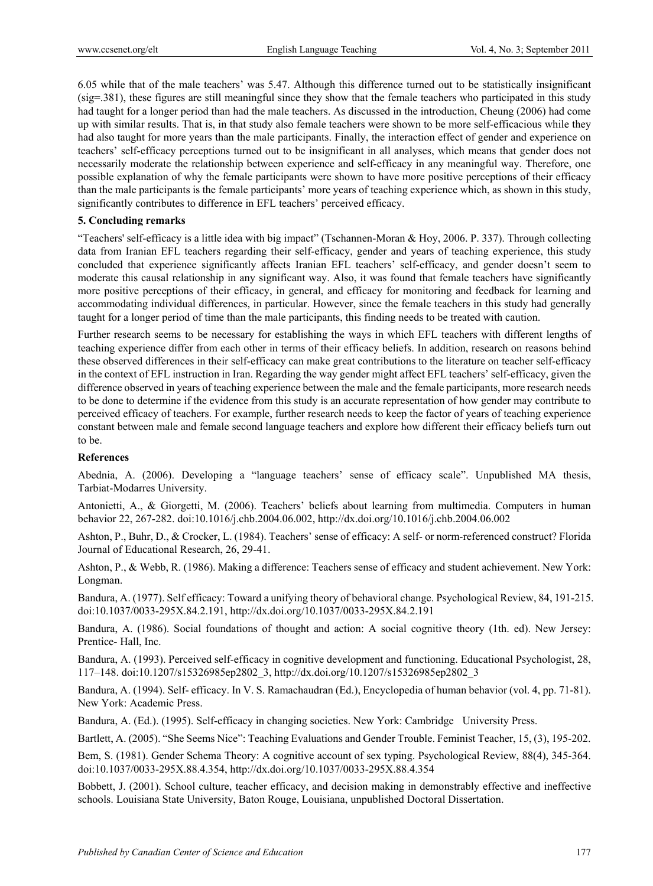6.05 while that of the male teachers' was 5.47. Although this difference turned out to be statistically insignificant (sig=.381), these figures are still meaningful since they show that the female teachers who participated in this study had taught for a longer period than had the male teachers. As discussed in the introduction, Cheung (2006) had come up with similar results. That is, in that study also female teachers were shown to be more self-efficacious while they had also taught for more years than the male participants. Finally, the interaction effect of gender and experience on teachers' self-efficacy perceptions turned out to be insignificant in all analyses, which means that gender does not necessarily moderate the relationship between experience and self-efficacy in any meaningful way. Therefore, one possible explanation of why the female participants were shown to have more positive perceptions of their efficacy than the male participants is the female participants' more years of teaching experience which, as shown in this study, significantly contributes to difference in EFL teachers' perceived efficacy.

## **5. Concluding remarks**

"Teachers' self-efficacy is a little idea with big impact" (Tschannen-Moran & Hoy, 2006. P. 337). Through collecting data from Iranian EFL teachers regarding their self-efficacy, gender and years of teaching experience, this study concluded that experience significantly affects Iranian EFL teachers' self-efficacy, and gender doesn't seem to moderate this causal relationship in any significant way. Also, it was found that female teachers have significantly more positive perceptions of their efficacy, in general, and efficacy for monitoring and feedback for learning and accommodating individual differences, in particular. However, since the female teachers in this study had generally taught for a longer period of time than the male participants, this finding needs to be treated with caution.

Further research seems to be necessary for establishing the ways in which EFL teachers with different lengths of teaching experience differ from each other in terms of their efficacy beliefs. In addition, research on reasons behind these observed differences in their self-efficacy can make great contributions to the literature on teacher self-efficacy in the context of EFL instruction in Iran. Regarding the way gender might affect EFL teachers' self-efficacy, given the difference observed in years of teaching experience between the male and the female participants, more research needs to be done to determine if the evidence from this study is an accurate representation of how gender may contribute to perceived efficacy of teachers. For example, further research needs to keep the factor of years of teaching experience constant between male and female second language teachers and explore how different their efficacy beliefs turn out to be.

# **References**

Abednia, A. (2006). Developing a "language teachers' sense of efficacy scale". Unpublished MA thesis, Tarbiat-Modarres University.

Antonietti, A., & Giorgetti, M. (2006). Teachers' beliefs about learning from multimedia. Computers in human behavior 22, 267-282. doi:10.1016/j.chb.2004.06.002, http://dx.doi.org/10.1016/j.chb.2004.06.002

Ashton, P., Buhr, D., & Crocker, L. (1984). Teachers' sense of efficacy: A self- or norm-referenced construct? Florida Journal of Educational Research, 26, 29-41.

Ashton, P., & Webb, R. (1986). Making a difference: Teachers sense of efficacy and student achievement. New York: Longman.

Bandura, A. (1977). Self efficacy: Toward a unifying theory of behavioral change. Psychological Review, 84, 191-215. doi:10.1037/0033-295X.84.2.191, http://dx.doi.org/10.1037/0033-295X.84.2.191

Bandura, A. (1986). Social foundations of thought and action: A social cognitive theory (1th. ed). New Jersey: Prentice- Hall, Inc.

Bandura, A. (1993). Perceived self-efficacy in cognitive development and functioning. Educational Psychologist, 28, 117–148. doi:10.1207/s15326985ep2802\_3, http://dx.doi.org/10.1207/s15326985ep2802\_3

Bandura, A. (1994). Self- efficacy. In V. S. Ramachaudran (Ed.), Encyclopedia of human behavior (vol. 4, pp. 71-81). New York: Academic Press.

Bandura, A. (Ed.). (1995). Self-efficacy in changing societies. New York: Cambridge University Press.

Bartlett, A. (2005). "She Seems Nice": Teaching Evaluations and Gender Trouble. Feminist Teacher, 15, (3), 195-202.

Bem, S. (1981). Gender Schema Theory: A cognitive account of sex typing. Psychological Review, 88(4), 345-364. doi:10.1037/0033-295X.88.4.354, http://dx.doi.org/10.1037/0033-295X.88.4.354

Bobbett, J. (2001). School culture, teacher efficacy, and decision making in demonstrably effective and ineffective schools. Louisiana State University, Baton Rouge, Louisiana, unpublished Doctoral Dissertation.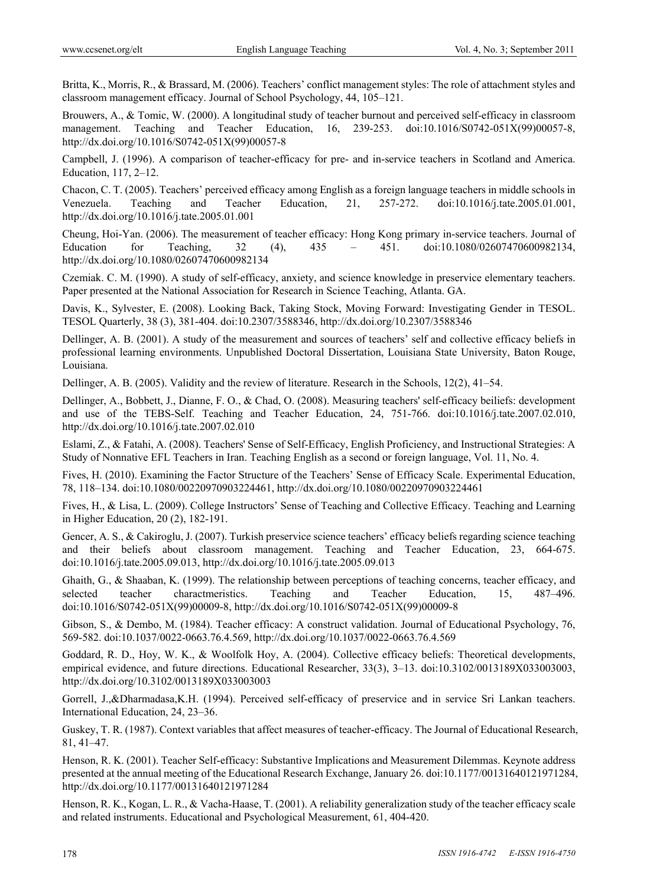Britta, K., Morris, R., & Brassard, M. (2006). Teachers' conflict management styles: The role of attachment styles and classroom management efficacy. Journal of School Psychology, 44, 105–121.

Brouwers, A., & Tomic, W. (2000). A longitudinal study of teacher burnout and perceived self-efficacy in classroom management. Teaching and Teacher Education, 16, 239-253. doi:10.1016/S0742-051X(99)00057-8, http://dx.doi.org/10.1016/S0742-051X(99)00057-8

Campbell, J. (1996). A comparison of teacher-efficacy for pre- and in-service teachers in Scotland and America. Education, 117, 2–12.

Chacon, C. T. (2005). Teachers' perceived efficacy among English as a foreign language teachers in middle schools in Venezuela. Teaching and Teacher Education, 21, 257-272. doi:10.1016/j.tate.2005.01.001, http://dx.doi.org/10.1016/j.tate.2005.01.001

Cheung, Hoi-Yan. (2006). The measurement of teacher efficacy: Hong Kong primary in-service teachers. Journal of Education for Teaching, 32 (4), 435 – 451. doi:10.1080/02607470600982134, http://dx.doi.org/10.1080/02607470600982134

Czemiak. C. M. (1990). A study of self-efficacy, anxiety, and science knowledge in preservice elementary teachers. Paper presented at the National Association for Research in Science Teaching, Atlanta. GA.

Davis, K., Sylvester, E. (2008). Looking Back, Taking Stock, Moving Forward: Investigating Gender in TESOL. TESOL Quarterly, 38 (3), 381-404. doi:10.2307/3588346, http://dx.doi.org/10.2307/3588346

Dellinger, A. B. (2001). A study of the measurement and sources of teachers' self and collective efficacy beliefs in professional learning environments. Unpublished Doctoral Dissertation, Louisiana State University, Baton Rouge, Louisiana.

Dellinger, A. B. (2005). Validity and the review of literature. Research in the Schools, 12(2), 41–54.

Dellinger, A., Bobbett, J., Dianne, F. O., & Chad, O. (2008). Measuring teachers' self-efficacy beiliefs: development and use of the TEBS-Self. Teaching and Teacher Education, 24, 751-766. doi:10.1016/j.tate.2007.02.010, http://dx.doi.org/10.1016/j.tate.2007.02.010

Eslami, Z., & Fatahi, A. (2008). Teachers' Sense of Self-Efficacy, English Proficiency, and Instructional Strategies: A Study of Nonnative EFL Teachers in Iran. Teaching English as a second or foreign language, Vol. 11, No. 4.

Fives, H. (2010). Examining the Factor Structure of the Teachers' Sense of Efficacy Scale. Experimental Education, 78, 118–134. doi:10.1080/00220970903224461, http://dx.doi.org/10.1080/00220970903224461

Fives, H., & Lisa, L. (2009). College Instructors' Sense of Teaching and Collective Efficacy. Teaching and Learning in Higher Education, 20 (2), 182-191.

Gencer, A. S., & Cakiroglu, J. (2007). Turkish preservice science teachers' efficacy beliefs regarding science teaching and their beliefs about classroom management. Teaching and Teacher Education, 23, 664-675. doi:10.1016/j.tate.2005.09.013, http://dx.doi.org/10.1016/j.tate.2005.09.013

Ghaith, G., & Shaaban, K. (1999). The relationship between perceptions of teaching concerns, teacher efficacy, and selected teacher charactmeristics. Teaching and Teacher Education, 15, 487–496. doi:10.1016/S0742-051X(99)00009-8, http://dx.doi.org/10.1016/S0742-051X(99)00009-8

Gibson, S., & Dembo, M. (1984). Teacher efficacy: A construct validation. Journal of Educational Psychology, 76, 569-582. doi:10.1037/0022-0663.76.4.569, http://dx.doi.org/10.1037/0022-0663.76.4.569

Goddard, R. D., Hoy, W. K., & Woolfolk Hoy, A. (2004). Collective efficacy beliefs: Theoretical developments, empirical evidence, and future directions. Educational Researcher, 33(3), 3-13. doi:10.3102/0013189X033003003, http://dx.doi.org/10.3102/0013189X033003003

Gorrell, J.,&Dharmadasa,K.H. (1994). Perceived self-efficacy of preservice and in service Sri Lankan teachers. International Education, 24, 23–36.

Guskey, T. R. (1987). Context variables that affect measures of teacher-efficacy. The Journal of Educational Research, 81, 41–47.

Henson, R. K. (2001). Teacher Self-efficacy: Substantive Implications and Measurement Dilemmas. Keynote address presented at the annual meeting of the Educational Research Exchange, January 26. doi:10.1177/00131640121971284, http://dx.doi.org/10.1177/00131640121971284

Henson, R. K., Kogan, L. R., & Vacha-Haase, T. (2001). A reliability generalization study of the teacher efficacy scale and related instruments. Educational and Psychological Measurement, 61, 404-420.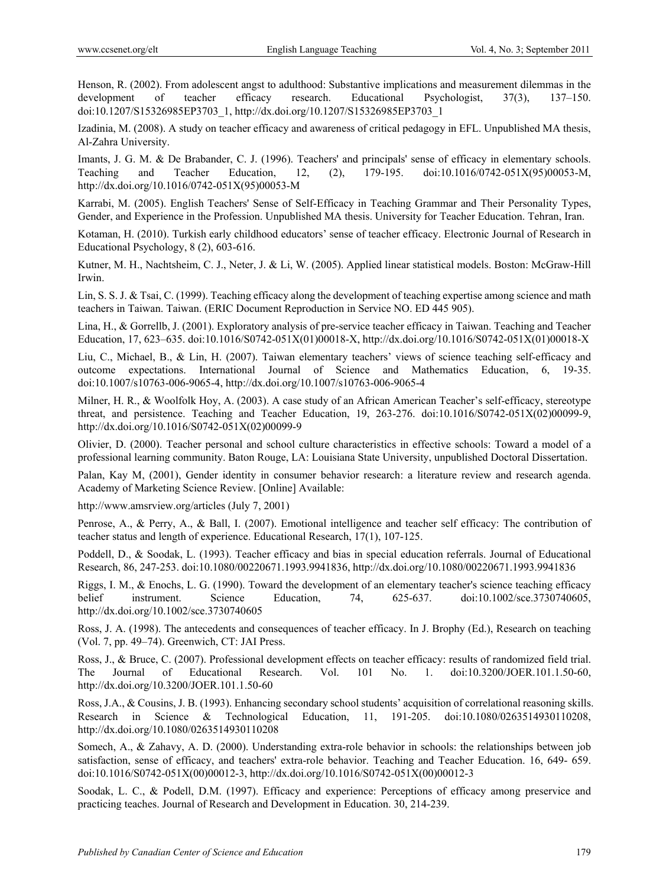Henson, R. (2002). From adolescent angst to adulthood: Substantive implications and measurement dilemmas in the development of teacher efficacy research. Educational Psychologist, 37(3), 137–150. doi:10.1207/S15326985EP3703\_1, http://dx.doi.org/10.1207/S15326985EP3703\_1

Izadinia, M. (2008). A study on teacher efficacy and awareness of critical pedagogy in EFL. Unpublished MA thesis, Al-Zahra University.

Imants, J. G. M. & De Brabander, C. J. (1996). Teachers' and principals' sense of efficacy in elementary schools. Teaching and Teacher Education, 12, (2), 179-195. doi:10.1016/0742-051X(95)00053-M, http://dx.doi.org/10.1016/0742-051X(95)00053-M

Karrabi, M. (2005). English Teachers' Sense of Self-Efficacy in Teaching Grammar and Their Personality Types, Gender, and Experience in the Profession. Unpublished MA thesis. University for Teacher Education. Tehran, Iran.

Kotaman, H. (2010). Turkish early childhood educators' sense of teacher efficacy. Electronic Journal of Research in Educational Psychology, 8 (2), 603-616.

Kutner, M. H., Nachtsheim, C. J., Neter, J. & Li, W. (2005). Applied linear statistical models. Boston: McGraw-Hill Irwin.

Lin, S. S. J. & Tsai, C. (1999). Teaching efficacy along the development of teaching expertise among science and math teachers in Taiwan. Taiwan. (ERIC Document Reproduction in Service NO. ED 445 905).

Lina, H., & Gorrellb, J. (2001). Exploratory analysis of pre-service teacher efficacy in Taiwan. Teaching and Teacher Education, 17, 623–635. doi:10.1016/S0742-051X(01)00018-X, http://dx.doi.org/10.1016/S0742-051X(01)00018-X

Liu, C., Michael, B., & Lin, H. (2007). Taiwan elementary teachers' views of science teaching self-efficacy and outcome expectations. International Journal of Science and Mathematics Education, 6, 19-35. doi:10.1007/s10763-006-9065-4, http://dx.doi.org/10.1007/s10763-006-9065-4

Milner, H. R., & Woolfolk Hoy, A. (2003). A case study of an African American Teacher's self-efficacy, stereotype threat, and persistence. Teaching and Teacher Education, 19, 263-276. doi:10.1016/S0742-051X(02)00099-9, http://dx.doi.org/10.1016/S0742-051X(02)00099-9

Olivier, D. (2000). Teacher personal and school culture characteristics in effective schools: Toward a model of a professional learning community. Baton Rouge, LA: Louisiana State University, unpublished Doctoral Dissertation.

Palan, Kay M, (2001), Gender identity in consumer behavior research: a literature review and research agenda. Academy of Marketing Science Review. [Online] Available:

http://www.amsrview.org/articles (July 7, 2001)

Penrose, A., & Perry, A., & Ball, I. (2007). Emotional intelligence and teacher self efficacy: The contribution of teacher status and length of experience. Educational Research, 17(1), 107-125.

Poddell, D., & Soodak, L. (1993). Teacher efficacy and bias in special education referrals. Journal of Educational Research, 86, 247-253. doi:10.1080/00220671.1993.9941836, http://dx.doi.org/10.1080/00220671.1993.9941836

Riggs, I. M., & Enochs, L. G. (1990). Toward the development of an elementary teacher's science teaching efficacy belief instrument. Science Education, 74, 625-637. doi:10.1002/sce.3730740605, http://dx.doi.org/10.1002/sce.3730740605

Ross, J. A. (1998). The antecedents and consequences of teacher efficacy. In J. Brophy (Ed.), Research on teaching (Vol. 7, pp. 49–74). Greenwich, CT: JAI Press.

Ross, J., & Bruce, C. (2007). Professional development effects on teacher efficacy: results of randomized field trial. The Journal of Educational Research. Vol. 101 No. 1. doi:10.3200/JOER.101.1.50-60, http://dx.doi.org/10.3200/JOER.101.1.50-60

Ross, J.A., & Cousins, J. B. (1993). Enhancing secondary school students' acquisition of correlational reasoning skills. Research in Science & Technological Education, 11, 191-205. doi:10.1080/0263514930110208, http://dx.doi.org/10.1080/0263514930110208

Somech, A., & Zahavy, A. D. (2000). Understanding extra-role behavior in schools: the relationships between job satisfaction, sense of efficacy, and teachers' extra-role behavior. Teaching and Teacher Education. 16, 649- 659. doi:10.1016/S0742-051X(00)00012-3, http://dx.doi.org/10.1016/S0742-051X(00)00012-3

Soodak, L. C., & Podell, D.M. (1997). Efficacy and experience: Perceptions of efficacy among preservice and practicing teaches. Journal of Research and Development in Education. 30, 214-239.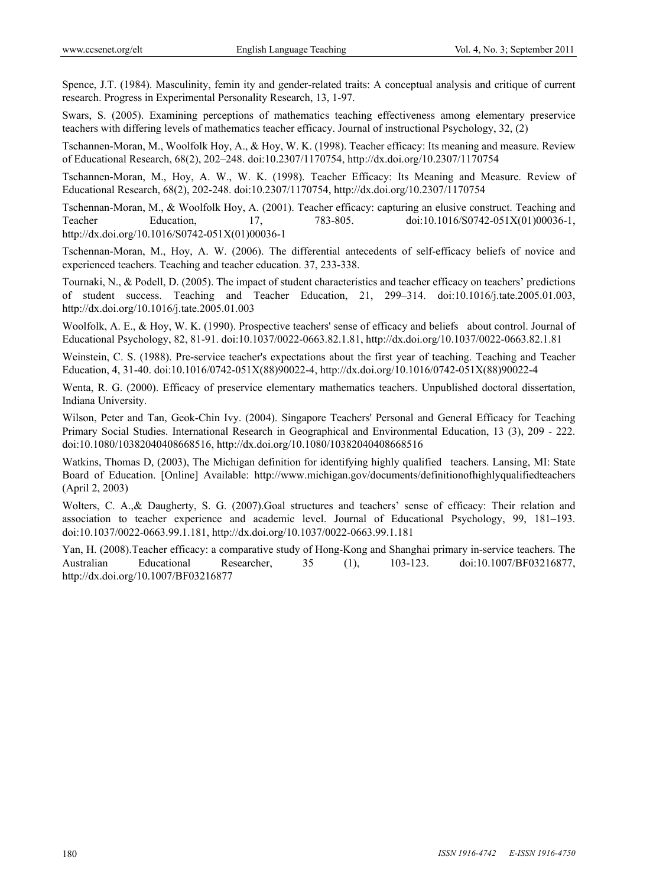Spence, J.T. (1984). Masculinity, femin ity and gender-related traits: A conceptual analysis and critique of current research. Progress in Experimental Personality Research, 13, 1-97.

Swars, S. (2005). Examining perceptions of mathematics teaching effectiveness among elementary preservice teachers with differing levels of mathematics teacher efficacy. Journal of instructional Psychology, 32, (2)

Tschannen-Moran, M., Woolfolk Hoy, A., & Hoy, W. K. (1998). Teacher efficacy: Its meaning and measure. Review of Educational Research, 68(2), 202–248. doi:10.2307/1170754, http://dx.doi.org/10.2307/1170754

Tschannen-Moran, M., Hoy, A. W., W. K. (1998). Teacher Efficacy: Its Meaning and Measure. Review of Educational Research, 68(2), 202-248. doi:10.2307/1170754, http://dx.doi.org/10.2307/1170754

Tschennan-Moran, M., & Woolfolk Hoy, A. (2001). Teacher efficacy: capturing an elusive construct. Teaching and Teacher Education, 17, 783-805. doi:10.1016/S0742-051X(01)00036-1, http://dx.doi.org/10.1016/S0742-051X(01)00036-1

Tschennan-Moran, M., Hoy, A. W. (2006). The differential antecedents of self-efficacy beliefs of novice and experienced teachers. Teaching and teacher education. 37, 233-338.

Tournaki, N., & Podell, D. (2005). The impact of student characteristics and teacher efficacy on teachers' predictions of student success. Teaching and Teacher Education, 21, 299–314. doi:10.1016/j.tate.2005.01.003, http://dx.doi.org/10.1016/j.tate.2005.01.003

Woolfolk, A. E., & Hoy, W. K. (1990). Prospective teachers' sense of efficacy and beliefs about control. Journal of Educational Psychology, 82, 81-91. doi:10.1037/0022-0663.82.1.81, http://dx.doi.org/10.1037/0022-0663.82.1.81

Weinstein, C. S. (1988). Pre-service teacher's expectations about the first year of teaching. Teaching and Teacher Education, 4, 31-40. doi:10.1016/0742-051X(88)90022-4, http://dx.doi.org/10.1016/0742-051X(88)90022-4

Wenta, R. G. (2000). Efficacy of preservice elementary mathematics teachers. Unpublished doctoral dissertation, Indiana University.

Wilson, Peter and Tan, Geok-Chin Ivy. (2004). Singapore Teachers' Personal and General Efficacy for Teaching Primary Social Studies. International Research in Geographical and Environmental Education, 13 (3), 209 - 222. doi:10.1080/10382040408668516, http://dx.doi.org/10.1080/10382040408668516

Watkins, Thomas D, (2003), The Michigan definition for identifying highly qualified teachers. Lansing, MI: State Board of Education. [Online] Available: http://www.michigan.gov/documents/definitionofhighlyqualifiedteachers (April 2, 2003)

Wolters, C. A., & Daugherty, S. G. (2007).Goal structures and teachers' sense of efficacy: Their relation and association to teacher experience and academic level. Journal of Educational Psychology, 99, 181–193. doi:10.1037/0022-0663.99.1.181, http://dx.doi.org/10.1037/0022-0663.99.1.181

Yan, H. (2008).Teacher efficacy: a comparative study of Hong-Kong and Shanghai primary in-service teachers. The Australian Educational Researcher, 35 (1), 103-123. doi:10.1007/BF03216877, http://dx.doi.org/10.1007/BF03216877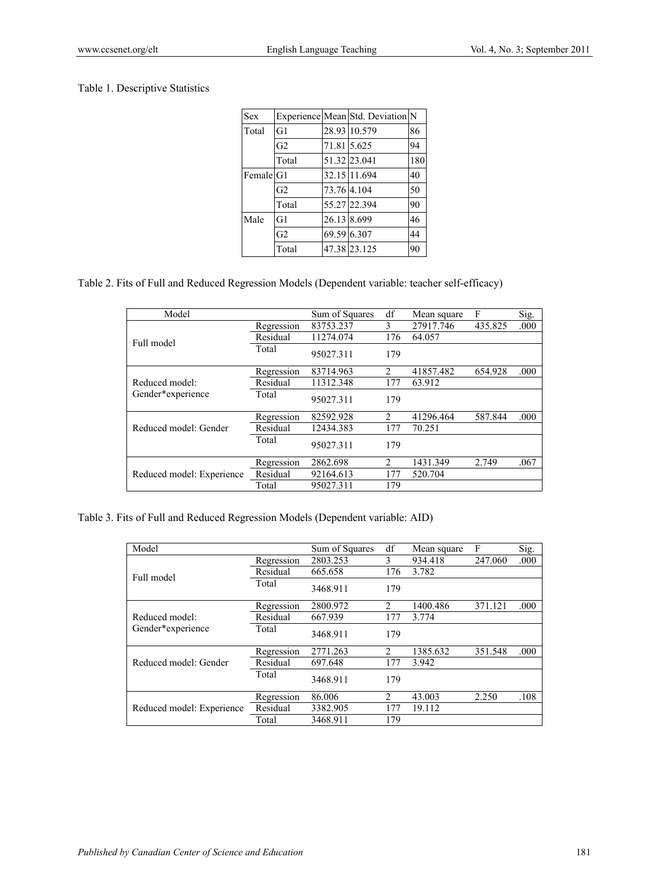# Table 1. Descriptive Statistics

| <b>Sex</b> | Experience Mean Std. Deviation N |             |              |     |  |
|------------|----------------------------------|-------------|--------------|-----|--|
| Total      | G1                               |             | 28.93 10.579 | 86  |  |
|            | G2                               |             | 71.81 5.625  | 94  |  |
|            | Total                            |             | 51.32 23.041 | 180 |  |
|            | Female <sup>[G1]</sup>           |             | 32.15 11.694 | 40  |  |
|            | G <sub>2</sub>                   |             | 73.76 4.104  | 50  |  |
|            | Total                            |             | 55.27 22.394 | 90  |  |
| Male       | G1                               | 26.13 8.699 |              | 46  |  |
|            | G <sub>2</sub>                   |             | 69.59 6.307  | 44  |  |
|            | Total                            |             | 47.38 23.125 | 90  |  |

Table 2. Fits of Full and Reduced Regression Models (Dependent variable: teacher self-efficacy)

| Model                     |            | Sum of Squares | df                            | Mean square | F       | Sig. |
|---------------------------|------------|----------------|-------------------------------|-------------|---------|------|
|                           | Regression | 83753.237      | 3                             | 27917.746   | 435.825 | .000 |
| Full model                | Residual   | 11274.074      | 176                           | 64.057      |         |      |
|                           | Total      | 95027.311      | 179                           |             |         |      |
|                           | Regression | 83714.963      | $\mathfrak{D}_{\mathfrak{p}}$ | 41857.482   | 654.928 | .000 |
| Reduced model:            | Residual   | 11312.348      | 177                           | 63.912      |         |      |
| Gender*experience         | Total      | 95027.311      | 179                           |             |         |      |
|                           | Regression | 82592.928      | $\mathcal{L}$                 | 41296.464   | 587.844 | .000 |
| Reduced model: Gender     | Residual   | 12434.383      | 177                           | 70.251      |         |      |
|                           | Total      | 95027.311      | 179                           |             |         |      |
|                           | Regression | 2862.698       | $\mathfrak{D}$                | 1431.349    | 2.749   | .067 |
| Reduced model: Experience | Residual   | 92164.613      | 177                           | 520.704     |         |      |
|                           | Total      | 95027.311      | 179                           |             |         |      |

Table 3. Fits of Full and Reduced Regression Models (Dependent variable: AID)

| Model                     |            | Sum of Squares | df                            | Mean square | F       | Sig. |
|---------------------------|------------|----------------|-------------------------------|-------------|---------|------|
|                           | Regression | 2803.253       | 3                             | 934.418     | 247.060 | .000 |
| Full model                | Residual   | 665.658        | 176                           | 3.782       |         |      |
|                           | Total      | 3468.911       | 179                           |             |         |      |
|                           | Regression | 2800.972       | $\mathfrak{D}_{\mathfrak{p}}$ | 1400.486    | 371.121 | .000 |
| Reduced model:            | Residual   | 667.939        | 177                           | 3.774       |         |      |
| Gender*experience         | Total      | 3468.911       | 179                           |             |         |      |
|                           | Regression | 2771.263       | 2                             | 1385.632    | 351.548 | .000 |
| Reduced model: Gender     | Residual   | 697.648        | 177                           | 3.942       |         |      |
|                           | Total      | 3468.911       | 179                           |             |         |      |
|                           | Regression | 86.006         | $\mathfrak{D}_{\mathfrak{p}}$ | 43.003      | 2.250   | .108 |
| Reduced model: Experience | Residual   | 3382.905       | 177                           | 19.112      |         |      |
|                           | Total      | 3468.911       | 179                           |             |         |      |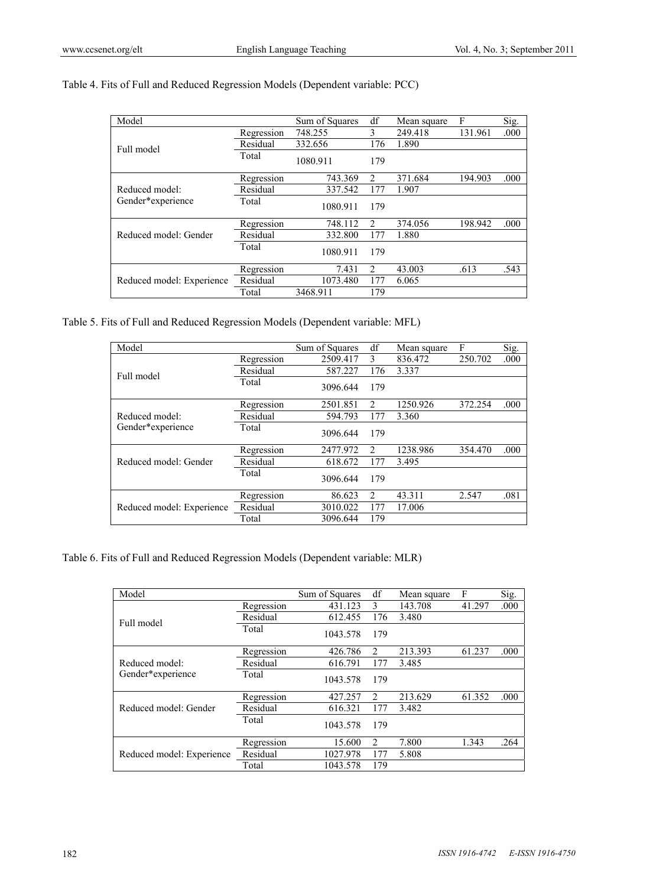| Table 4. Fits of Full and Reduced Regression Models (Dependent variable: PCC) |  |
|-------------------------------------------------------------------------------|--|
|-------------------------------------------------------------------------------|--|

| Model                     |            | Sum of Squares | df             | Mean square | F       | Sig. |
|---------------------------|------------|----------------|----------------|-------------|---------|------|
|                           | Regression | 748.255        | 3              | 249.418     | 131.961 | .000 |
| Full model                | Residual   | 332.656        | 176            | 1.890       |         |      |
|                           | Total      | 1080.911       | 179            |             |         |      |
|                           | Regression | 743.369        | $\mathfrak{D}$ | 371.684     | 194.903 | .000 |
| Reduced model:            | Residual   | 337.542        | 177            | 1.907       |         |      |
| Gender*experience         | Total      | 1080.911       | 179            |             |         |      |
|                           | Regression | 748.112        | $\mathfrak{D}$ | 374.056     | 198.942 | .000 |
| Reduced model: Gender     | Residual   | 332.800        | 177            | 1.880       |         |      |
|                           | Total      | 1080.911       | 179            |             |         |      |
|                           | Regression | 7.431          | 2              | 43.003      | .613    | .543 |
| Reduced model: Experience | Residual   | 1073.480       | 177            | 6.065       |         |      |
|                           | Total      | 3468.911       | 179            |             |         |      |

Table 5. Fits of Full and Reduced Regression Models (Dependent variable: MFL)

| Model                     |            | Sum of Squares | df                            | Mean square | F       | Sig. |
|---------------------------|------------|----------------|-------------------------------|-------------|---------|------|
|                           | Regression | 2509.417       | 3                             | 836.472     | 250.702 | .000 |
| Full model                | Residual   | 587.227        | 176                           | 3.337       |         |      |
|                           | Total      | 3096.644       | 179                           |             |         |      |
|                           | Regression | 2501.851       | $\mathfrak{D}$                | 1250.926    | 372.254 | .000 |
| Reduced model:            | Residual   | 594.793        | 177                           | 3.360       |         |      |
| Gender*experience         | Total      | 3096.644       | 179                           |             |         |      |
|                           | Regression | 2477.972       | $\mathfrak{D}_{\mathfrak{p}}$ | 1238.986    | 354.470 | .000 |
| Reduced model: Gender     | Residual   | 618.672        | 177                           | 3.495       |         |      |
|                           | Total      | 3096.644       | 179                           |             |         |      |
|                           | Regression | 86.623         | $\mathfrak{D}_{\mathfrak{p}}$ | 43.311      | 2.547   | .081 |
| Reduced model: Experience | Residual   | 3010.022       | 177                           | 17.006      |         |      |
|                           | Total      | 3096.644       | 179                           |             |         |      |

Table 6. Fits of Full and Reduced Regression Models (Dependent variable: MLR)

| Model                     |            | Sum of Squares | df                            | Mean square | F      | Sig. |
|---------------------------|------------|----------------|-------------------------------|-------------|--------|------|
|                           | Regression | 431.123        | 3                             | 143.708     | 41.297 | .000 |
| Full model                | Residual   | 612.455        | 176                           | 3.480       |        |      |
|                           | Total      | 1043.578       | 179                           |             |        |      |
|                           | Regression | 426.786        | $\mathfrak{D}$                | 213.393     | 61.237 | .000 |
| Reduced model:            | Residual   | 616.791        | 177                           | 3.485       |        |      |
| Gender*experience         | Total      | 1043.578       | 179                           |             |        |      |
|                           | Regression | 427.257        | $\mathfrak{D}_{\mathfrak{p}}$ | 213.629     | 61.352 | .000 |
| Reduced model: Gender     | Residual   | 616.321        | 177                           | 3.482       |        |      |
|                           | Total      | 1043.578       | 179                           |             |        |      |
|                           | Regression | 15.600         | 2                             | 7.800       | 1.343  | .264 |
| Reduced model: Experience | Residual   | 1027.978       | 177                           | 5.808       |        |      |
|                           | Total      | 1043.578       | 179                           |             |        |      |